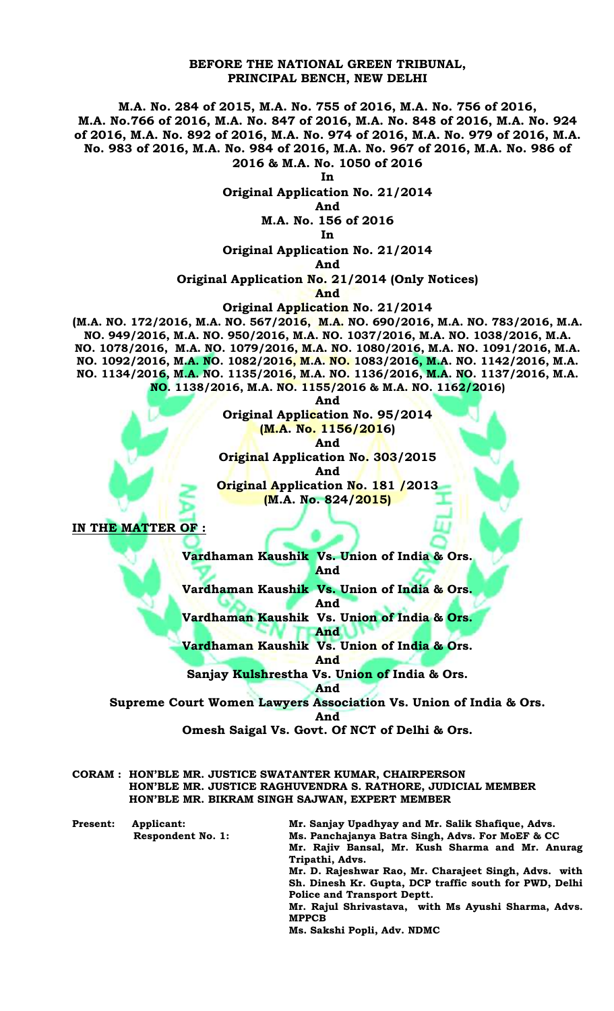## **BEFORE THE NATIONAL GREEN TRIBUNAL, PRINCIPAL BENCH, NEW DELHI**

**M.A. No. 284 of 2015, M.A. No. 755 of 2016, M.A. No. 756 of 2016, M.A. No.766 of 2016, M.A. No. 847 of 2016, M.A. No. 848 of 2016, M.A. No. 924 of 2016, M.A. No. 892 of 2016, M.A. No. 974 of 2016, M.A. No. 979 of 2016, M.A. No. 983 of 2016, M.A. No. 984 of 2016, M.A. No. 967 of 2016, M.A. No. 986 of 2016 & M.A. No. 1050 of 2016**

**In**

**Original Application No. 21/2014**

**And M.A. No. 156 of 2016**

**In** 

**Original Application No. 21/2014**

**And** 

**Original Application No. 21/2014 (Only Notices)**

**And**

**Original Application No. 21/2014**

**(M.A. NO. 172/2016, M.A. NO. 567/2016, M.A. NO. 690/2016, M.A. NO. 783/2016, M.A. NO. 949/2016, M.A. NO. 950/2016, M.A. NO. 1037/2016, M.A. NO. 1038/2016, M.A. NO. 1078/2016, M.A. NO. 1079/2016, M.A. NO. 1080/2016, M.A. NO. 1091/2016, M.A. NO. 1092/2016, M.A. NO. 1082/2016, M.A. NO. 1083/2016, M.A. NO. 1142/2016, M.A. NO. 1134/2016, M.A. NO. 1135/2016, M.A. NO. 1136/2016, M.A. NO. 1137/2016, M.A. NO. 1138/2016, M.A. NO. 1155/2016 & M.A. NO. 1162/2016)**

**And** 

**Original Application No. 95/2014 (M.A. No. 1156/2016) And Original Application No. 303/2015 And Original Application No. 181 /2013 (M.A. No. 824/2015)**

**IN THE MATTER OF :**

**Vardhaman Kaushik Vs. Union of India & Ors. And** 

**Vardhaman Kaushik Vs. Union of India & Ors.**

**And** 

**Vardhaman Kaushik Vs. Union of India & Ors. And** 

**Vardhaman Kaushik Vs. Union of India & Ors.**

**And** 

**Sanjay Kulshrestha Vs. Union of India & Ors.**

**And** 

**Supreme Court Women Lawyers Association Vs. Union of India & Ors.** 

**And** 

**Omesh Saigal Vs. Govt. Of NCT of Delhi & Ors.** 

| CORAM: HON'BLE MR. JUSTICE SWATANTER KUMAR, CHAIRPERSON     |
|-------------------------------------------------------------|
| HON'BLE MR. JUSTICE RAGHUVENDRA S. RATHORE, JUDICIAL MEMBER |
| HON'BLE MR. BIKRAM SINGH SAJWAN, EXPERT MEMBER              |

| <b>Present:</b> | Applicant:        | Mr. Sanjay Upadhyay and Mr. Salik Shafique, Advs.      |
|-----------------|-------------------|--------------------------------------------------------|
|                 | Respondent No. 1: | Ms. Panchajanya Batra Singh, Advs. For MoEF & CC       |
|                 |                   | Mr. Rajiv Bansal, Mr. Kush Sharma and Mr. Anurag       |
|                 |                   | Tripathi, Advs.                                        |
|                 |                   | Mr. D. Rajeshwar Rao, Mr. Charajeet Singh, Advs. with  |
|                 |                   | Sh. Dinesh Kr. Gupta, DCP traffic south for PWD, Delhi |
|                 |                   | <b>Police and Transport Deptt.</b>                     |
|                 |                   | Mr. Rajul Shrivastava, with Ms Ayushi Sharma, Advs.    |
|                 |                   | <b>MPPCB</b>                                           |
|                 |                   | Ms. Sakshi Popli, Adv. NDMC                            |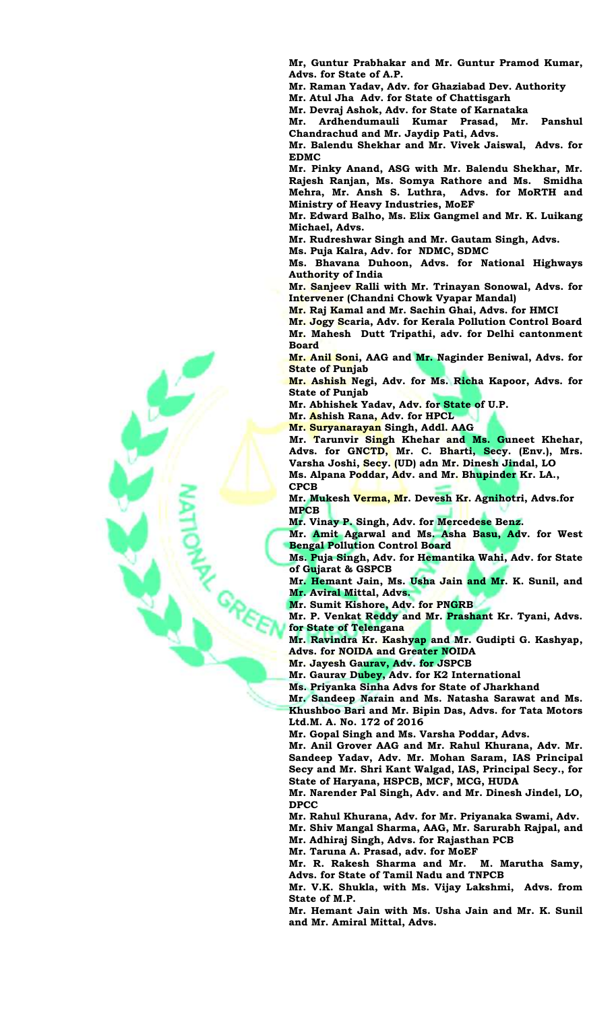**Mr, Guntur Prabhakar and Mr. Guntur Pramod Kumar, Advs. for State of A.P.**

**Mr. Raman Yadav, Adv. for Ghaziabad Dev. Authority**

**Mr. Atul Jha Adv. for State of Chattisgarh**

**Mr. Devraj Ashok, Adv. for State of Karnataka**

**Mr. Ardhendumauli Kumar Prasad, Mr. Panshul Chandrachud and Mr. Jaydip Pati, Advs.** 

**Mr. Balendu Shekhar and Mr. Vivek Jaiswal, Advs. for EDMC**

**Mr. Pinky Anand, ASG with Mr. Balendu Shekhar, Mr. Rajesh Ranjan, Ms. Somya Rathore and Ms. Smidha Mehra, Mr. Ansh S. Luthra, Advs. for MoRTH and Ministry of Heavy Industries, MoEF**

**Mr. Edward Balho, Ms. Elix Gangmel and Mr. K. Luikang Michael, Advs.** 

**Mr. Rudreshwar Singh and Mr. Gautam Singh, Advs.**

**Ms. Puja Kalra, Adv. for NDMC, SDMC**

**Ms. Bhavana Duhoon, Advs. for National Highways Authority of India**

**Mr. Sanjeev Ralli with Mr. Trinayan Sonowal, Advs. for Intervener (Chandni Chowk Vyapar Mandal)**

**Mr. Raj Kamal and Mr. Sachin Ghai, Advs. for HMCI**

**Mr. Jogy Scaria, Adv. for Kerala Pollution Control Board Mr. Mahesh Dutt Tripathi, adv. for Delhi cantonment Board**

**Mr. Anil Soni, AAG and Mr. Naginder Beniwal, Advs. for State of Punjab** 

**Mr. Ashish Negi, Adv. for Ms. Richa Kapoor, Advs. for State of Punjab** 

**Mr. Abhishek Yadav, Adv. for State of U.P.**

**Mr. Ashish Rana, Adv. for HPCL**

**Mr. Suryanarayan Singh, Addl. AAG**

**Mr. Tarunvir Singh Khehar and Ms. Guneet Khehar, Advs. for GNCTD, Mr. C. Bharti, Secy. (Env.), Mrs. Varsha Joshi, Secy. (UD) adn Mr. Dinesh Jindal, LO**

**Ms. Alpana Poddar, Adv. and Mr. Bhupinder Kr. LA., CPCB**

**Mr. Mukesh Verma, Mr. Devesh Kr. Agnihotri, Advs.for MPCB**

**Mr. Vinay P. Singh, Adv. for Mercedese Benz.**

**Mr. Amit Agarwal and Ms. Asha Basu, Adv. for West Bengal Pollution Control Board** 

**Ms. Puja Singh, Adv. for Hemantika Wahi, Adv. for State of Gujarat & GSPCB** 

**Mr. Hemant Jain, Ms. Usha Jain and Mr. K. Sunil, and Mr. Aviral Mittal, Advs.**

**Mr. Sumit Kishore, Adv. for PNGRB**

**Mr. P. Venkat Reddy and Mr. Prashant Kr. Tyani, Advs. for State of Telengana**

**Mr. Ravindra Kr. Kashyap and Mr. Gudipti G. Kashyap, Advs. for NOIDA and Greater NOIDA**

**Mr. Jayesh Gaurav, Adv. for JSPCB**

**Mr. Gaurav Dubey, Adv. for K2 International**

**Ms. Priyanka Sinha Advs for State of Jharkhand**

**Mr. Sandeep Narain and Ms. Natasha Sarawat and Ms. Khushboo Bari and Mr. Bipin Das, Advs. for Tata Motors Ltd.M. A. No. 172 of 2016**

**Mr. Gopal Singh and Ms. Varsha Poddar, Advs.**

**Mr. Anil Grover AAG and Mr. Rahul Khurana, Adv. Mr. Sandeep Yadav, Adv. Mr. Mohan Saram, IAS Principal Secy and Mr. Shri Kant Walgad, IAS, Principal Secy., for State of Haryana, HSPCB, MCF, MCG, HUDA** 

**Mr. Narender Pal Singh, Adv. and Mr. Dinesh Jindel, LO, DPCC**

**Mr. Rahul Khurana, Adv. for Mr. Priyanaka Swami, Adv.** 

**Mr. Shiv Mangal Sharma, AAG, Mr. Sarurabh Rajpal, and Mr. Adhiraj Singh, Advs. for Rajasthan PCB**

**Mr. Taruna A. Prasad, adv. for MoEF**

**Mr. R. Rakesh Sharma and Mr. M. Marutha Samy, Advs. for State of Tamil Nadu and TNPCB**

**Mr. V.K. Shukla, with Ms. Vijay Lakshmi, Advs. from State of M.P.**

**Mr. Hemant Jain with Ms. Usha Jain and Mr. K. Sunil and Mr. Amiral Mittal, Advs.**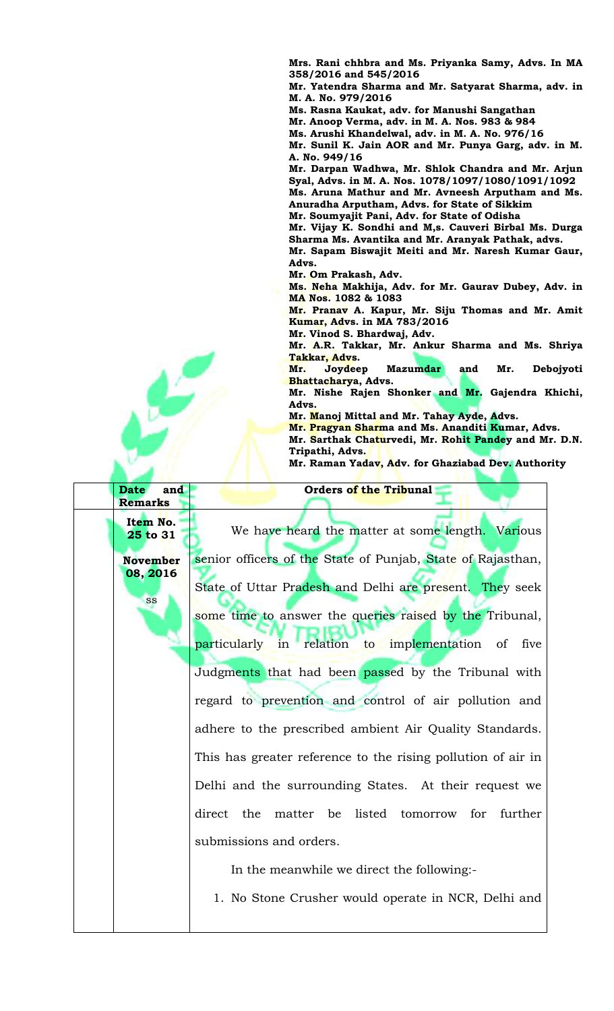**Mrs. Rani chhbra and Ms. Priyanka Samy, Advs. In MA 358/2016 and 545/2016** 

**Mr. Yatendra Sharma and Mr. Satyarat Sharma, adv. in M. A. No. 979/2016**

**Ms. Rasna Kaukat, adv. for Manushi Sangathan**

**Mr. Anoop Verma, adv. in M. A. Nos. 983 & 984** 

**Ms. Arushi Khandelwal, adv. in M. A. No. 976/16 Mr. Sunil K. Jain AOR and Mr. Punya Garg, adv. in M.** 

**A. No. 949/16 Mr. Darpan Wadhwa, Mr. Shlok Chandra and Mr. Arjun** 

**Syal, Advs. in M. A. Nos. 1078/1097/1080/1091/1092 Ms. Aruna Mathur and Mr. Avneesh Arputham and Ms. Anuradha Arputham, Advs. for State of Sikkim** 

**Mr. Soumyajit Pani, Adv. for State of Odisha**

**Mr. Vijay K. Sondhi and M,s. Cauveri Birbal Ms. Durga Sharma Ms. Avantika and Mr. Aranyak Pathak, advs.**

**Mr. Sapam Biswajit Meiti and Mr. Naresh Kumar Gaur, Advs.** 

**Mr. Om Prakash, Adv.**

**Ms. Neha Makhija, Adv. for Mr. Gaurav Dubey, Adv. in MA Nos. 1082 & 1083**

**Mr. Pranav A. Kapur, Mr. Siju Thomas and Mr. Amit Kumar, Advs. in MA 783/2016**

**Mr. Vinod S. Bhardwaj, Adv. Mr. A.R. Takkar, Mr. Ankur Sharma and Ms. Shriya Takkar, Advs.** 

**Mr. Joydeep Mazumdar and Mr. Debojyoti Bhattacharya, Advs.** 

**Mr. Nishe Rajen Shonker and Mr. Gajendra Khichi, Advs.** 

**Mr. Manoj Mittal and Mr. Tahay Ayde, Advs.** 

**Orders of the Tribunal**

**Mr. Pragyan Sharma and Ms. Ananditi Kumar, Advs.** 

**Mr. Sarthak Chaturvedi, Mr. Rohit Pandey and Mr. D.N. Tripathi, Advs.** 

**Mr. Raman Yadav, Adv. for Ghaziabad Dev. Authority**

**Remarks Item No. 25 to 31 November 08, 2016** ss We have heard the matter at some length. Various senior officers of the State of Punjab, State of Rajasthan, State of Uttar Pradesh and Delhi are present. They seek some time to answer the queries raised by the Tribunal, particularly in relation to implementation of five Judgments that had been passed by the Tribunal with regard to prevention and control of air pollution and adhere to the prescribed ambient Air Quality Standards. This has greater reference to the rising pollution of air in Delhi and the surrounding States. At their request we direct the matter be listed tomorrow for further submissions and orders. In the meanwhile we direct the following:- 1. No Stone Crusher would operate in NCR, Delhi and

**Date and**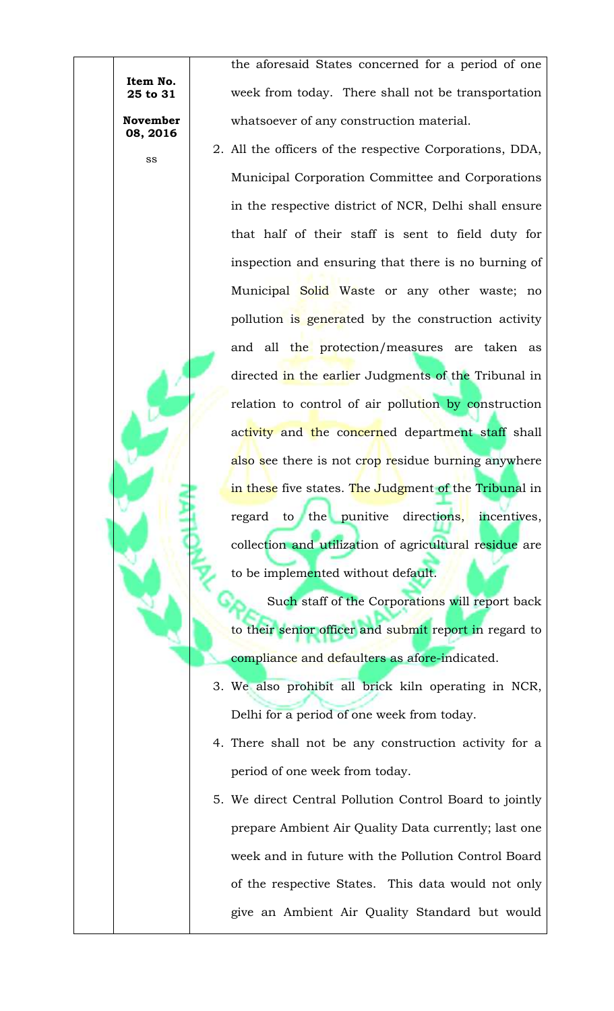**Item No. 25 to 31 November** 

**08, 2016**

ss

the aforesaid States concerned for a period of one week from today. There shall not be transportation whatsoever of any construction material.

2. All the officers of the respective Corporations, DDA, Municipal Corporation Committee and Corporations in the respective district of NCR, Delhi shall ensure that half of their staff is sent to field duty for inspection and ensuring that there is no burning of Municipal Solid Waste or any other waste; no pollution is generated by the construction activity and all the protection/measures are taken as directed in the earlier Judgments of the Tribunal in relation to control of air pollution by construction activity and the concerned department staff shall also see there is not crop residue burning anywhere in these five states. The Judgment of the Tribunal in regard to the punitive directions, incentives, collection and utilization of agricultural residue are to be implemented without default.

Such staff of the Corporations will report back to their senior officer and submit report in regard to compliance and defaulters as afore-indicated.

- 3. We also prohibit all brick kiln operating in NCR, Delhi for a period of one week from today.
- 4. There shall not be any construction activity for a period of one week from today.
- 5. We direct Central Pollution Control Board to jointly prepare Ambient Air Quality Data currently; last one week and in future with the Pollution Control Board of the respective States. This data would not only give an Ambient Air Quality Standard but would